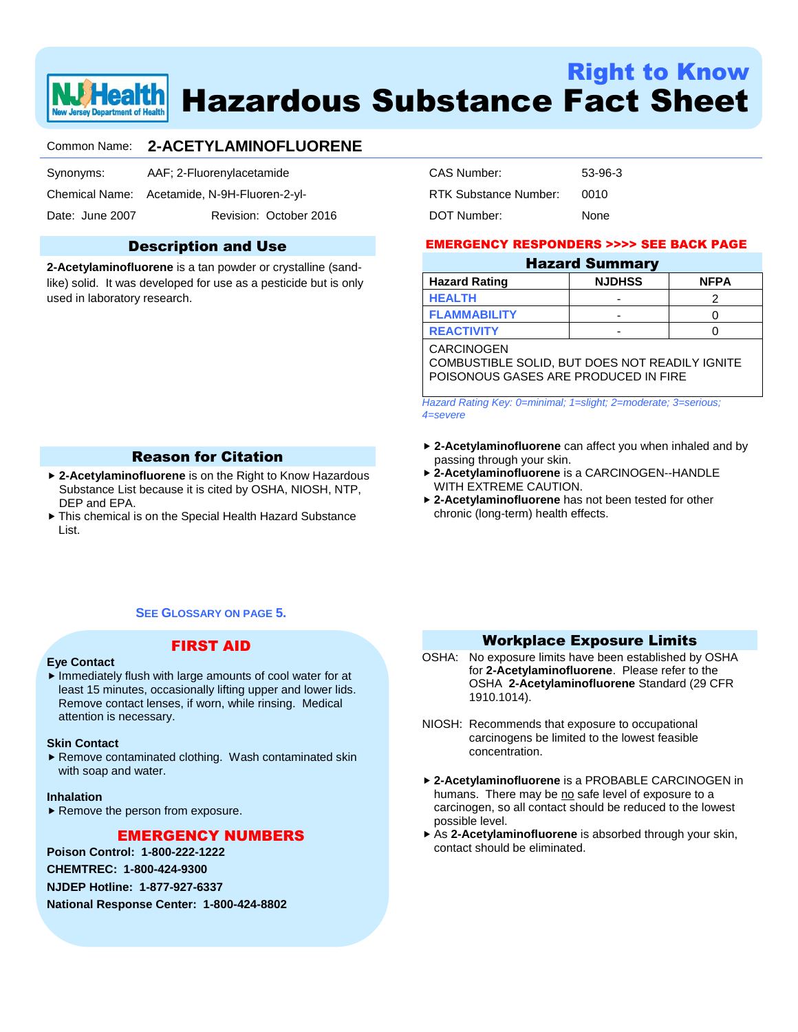

# Right to Know Hazardous Substance Fact Sheet

# Common Name: **2-ACETYLAMINOFLUORENE**

| Synonyms: | AAF; 2-Fluorenylacetamide |
|-----------|---------------------------|
|           |                           |
|           |                           |

Chemical Name: Acetamide, N-9H-Fluoren-2-yl-

Date: June 2007 Revision: October 2016

# Description and Use

**2-Acetylaminofluorene** is a tan powder or crystalline (sandlike) solid. It was developed for use as a pesticide but is only used in laboratory research.

| CAS Number:           | 53-96-3 |
|-----------------------|---------|
| RTK Substance Number: | 0010    |
| DOT Number:           | None    |

# EMERGENCY RESPONDERS >>>> SEE BACK PAGE

# Hazard Summary **Hazard Rating NJDHSS NFPA**

|                     | . | -------- |
|---------------------|---|----------|
| <b>HEALTH</b>       |   |          |
| <b>FLAMMABILITY</b> |   |          |
| <b>REACTIVITY</b>   |   |          |

#### **CARCINOGEN**

COMBUSTIBLE SOLID, BUT DOES NOT READILY IGNITE POISONOUS GASES ARE PRODUCED IN FIRE

*Hazard Rating Key: 0=minimal; 1=slight; 2=moderate; 3=serious; 4=severe*

- **2-Acetylaminofluorene** can affect you when inhaled and by passing through your skin.
- **2-Acetylaminofluorene** is a CARCINOGEN--HANDLE WITH EXTREME CAUTION.
- **2-Acetylaminofluorene** has not been tested for other chronic (long-term) health effects.

# Reason for Citation

- **2-Acetylaminofluorene** is on the Right to Know Hazardous Substance List because it is cited by OSHA, NIOSH, NTP, DEP and EPA.
- This chemical is on the Special Health Hazard Substance List.

# **SEE GLOSSARY ON PAGE 5.**

# **Eye Contact**

# FIRST AID

 $\blacktriangleright$  Immediately flush with large amounts of cool water for at least 15 minutes, occasionally lifting upper and lower lids. Remove contact lenses, if worn, while rinsing. Medical attention is necessary.

#### **Skin Contact**

▶ Remove contaminated clothing. Wash contaminated skin with soap and water.

#### **Inhalation**

▶ Remove the person from exposure.

# EMERGENCY NUMBERS

**Poison Control: 1-800-222-1222**

**CHEMTREC: 1-800-424-9300**

**NJDEP Hotline: 1-877-927-6337**

**National Response Center: 1-800-424-8802**

# Workplace Exposure Limits

- OSHA: No exposure limits have been established by OSHA for **2-Acetylaminofluorene**. Please refer to the OSHA **2-Acetylaminofluorene** Standard (29 CFR 1910.1014).
- NIOSH: Recommends that exposure to occupational carcinogens be limited to the lowest feasible concentration.
- **2-Acetylaminofluorene** is a PROBABLE CARCINOGEN in humans. There may be no safe level of exposure to a carcinogen, so all contact should be reduced to the lowest possible level.
- As **2-Acetylaminofluorene** is absorbed through your skin, contact should be eliminated.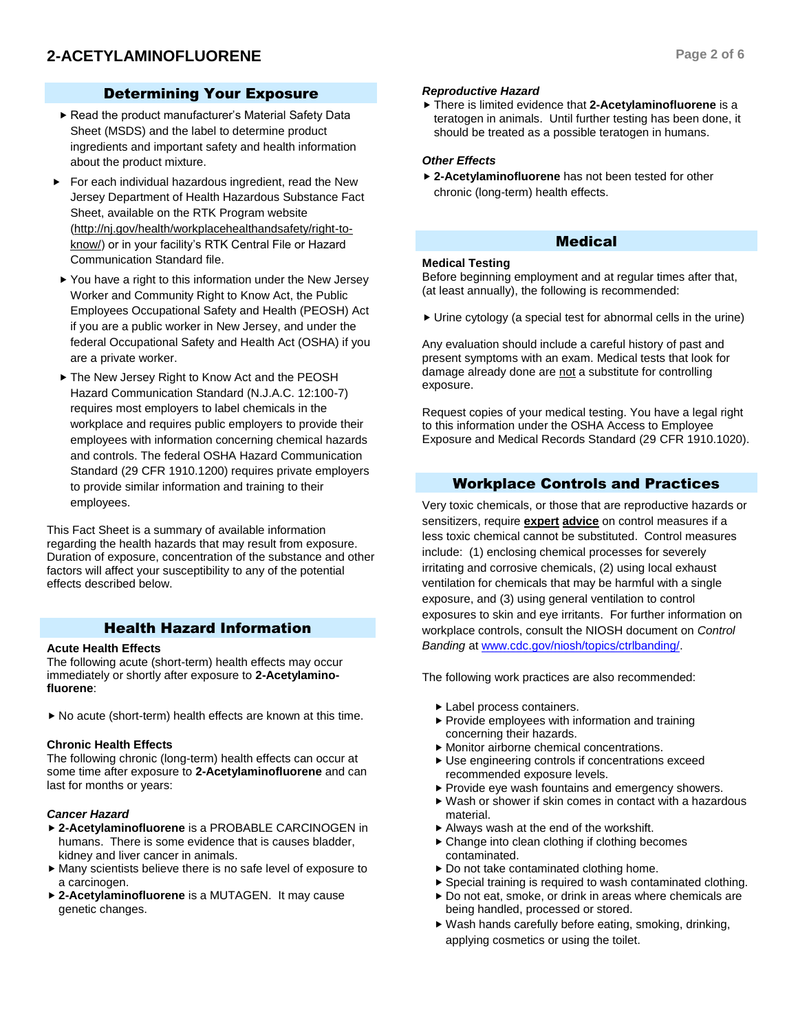# Determining Your Exposure

- Read the product manufacturer's Material Safety Data Sheet (MSDS) and the label to determine product ingredients and important safety and health information about the product mixture.
- For each individual hazardous ingredient, read the New Jersey Department of Health Hazardous Substance Fact Sheet, available on the RTK Program website (http://nj.gov/health/workplacehealthandsafety/right-toknow/) or in your facility's RTK Central File or Hazard Communication Standard file.
- ▶ You have a right to this information under the New Jersey Worker and Community Right to Know Act, the Public Employees Occupational Safety and Health (PEOSH) Act if you are a public worker in New Jersey, and under the federal Occupational Safety and Health Act (OSHA) if you are a private worker.
- ▶ The New Jersey Right to Know Act and the PEOSH Hazard Communication Standard (N.J.A.C. 12:100-7) requires most employers to label chemicals in the workplace and requires public employers to provide their employees with information concerning chemical hazards and controls. The federal OSHA Hazard Communication Standard (29 CFR 1910.1200) requires private employers to provide similar information and training to their employees.

This Fact Sheet is a summary of available information regarding the health hazards that may result from exposure. Duration of exposure, concentration of the substance and other factors will affect your susceptibility to any of the potential effects described below.

# Health Hazard Information

# **Acute Health Effects**

The following acute (short-term) health effects may occur immediately or shortly after exposure to **2-Acetylaminofluorene**:

▶ No acute (short-term) health effects are known at this time.

# **Chronic Health Effects**

The following chronic (long-term) health effects can occur at some time after exposure to **2-Acetylaminofluorene** and can last for months or years:

# *Cancer Hazard*

- **2-Acetylaminofluorene** is a PROBABLE CARCINOGEN in humans. There is some evidence that is causes bladder, kidney and liver cancer in animals.
- Many scientists believe there is no safe level of exposure to a carcinogen.
- **2-Acetylaminofluorene** is a MUTAGEN. It may cause genetic changes.

### *Reproductive Hazard*

 There is limited evidence that **2-Acetylaminofluorene** is a teratogen in animals. Until further testing has been done, it should be treated as a possible teratogen in humans.

# *Other Effects*

 **2-Acetylaminofluorene** has not been tested for other chronic (long-term) health effects.

# Medical

### **Medical Testing**

Before beginning employment and at regular times after that, (at least annually), the following is recommended:

Urine cytology (a special test for abnormal cells in the urine)

Any evaluation should include a careful history of past and present symptoms with an exam. Medical tests that look for damage already done are not a substitute for controlling exposure.

Request copies of your medical testing. You have a legal right to this information under the OSHA Access to Employee Exposure and Medical Records Standard (29 CFR 1910.1020).

# Workplace Controls and Practices

Very toxic chemicals, or those that are reproductive hazards or sensitizers, require **expert advice** on control measures if a less toxic chemical cannot be substituted. Control measures include: (1) enclosing chemical processes for severely irritating and corrosive chemicals, (2) using local exhaust ventilation for chemicals that may be harmful with a single exposure, and (3) using general ventilation to control exposures to skin and eye irritants. For further information on workplace controls, consult the NIOSH document on *Control Banding* a[t www.cdc.gov/niosh/topics/ctrlbanding/.](http://www.cdc.gov/niosh/topics/ctrlbanding/)

The following work practices are also recommended:

- Label process containers.
- $\blacktriangleright$  Provide employees with information and training concerning their hazards.
- Monitor airborne chemical concentrations.
- Use engineering controls if concentrations exceed recommended exposure levels.
- ▶ Provide eye wash fountains and emergency showers.
- Wash or shower if skin comes in contact with a hazardous material.
- Always wash at the end of the workshift.
- ▶ Change into clean clothing if clothing becomes contaminated.
- ▶ Do not take contaminated clothing home.
- Special training is required to wash contaminated clothing.
- Do not eat, smoke, or drink in areas where chemicals are being handled, processed or stored.
- Wash hands carefully before eating, smoking, drinking, applying cosmetics or using the toilet.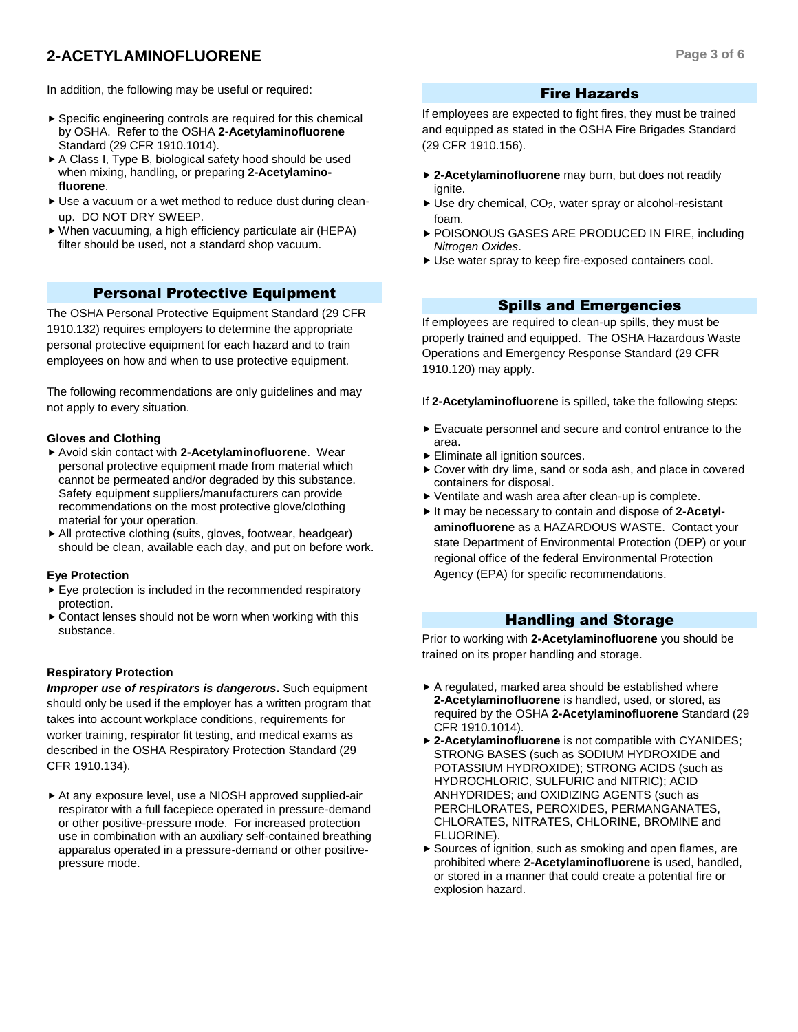# **2-ACETYLAMINOFLUORENE Page 3 of 6**

In addition, the following may be useful or required:

- ▶ Specific engineering controls are required for this chemical by OSHA. Refer to the OSHA **2-Acetylaminofluorene** Standard (29 CFR 1910.1014).
- ▶ A Class I, Type B, biological safety hood should be used when mixing, handling, or preparing **2-Acetylaminofluorene**.
- Use a vacuum or a wet method to reduce dust during cleanup. DO NOT DRY SWEEP.
- When vacuuming, a high efficiency particulate air (HEPA) filter should be used, not a standard shop vacuum.

# Personal Protective Equipment

The OSHA Personal Protective Equipment Standard (29 CFR 1910.132) requires employers to determine the appropriate personal protective equipment for each hazard and to train employees on how and when to use protective equipment.

The following recommendations are only guidelines and may not apply to every situation.

# **Gloves and Clothing**

- Avoid skin contact with **2-Acetylaminofluorene**. Wear personal protective equipment made from material which cannot be permeated and/or degraded by this substance. Safety equipment suppliers/manufacturers can provide recommendations on the most protective glove/clothing material for your operation.
- All protective clothing (suits, gloves, footwear, headgear) should be clean, available each day, and put on before work.

#### **Eye Protection**

- Eye protection is included in the recommended respiratory protection.
- Contact lenses should not be worn when working with this substance.

# **Respiratory Protection**

*Improper use of respirators is dangerous***.** Such equipment should only be used if the employer has a written program that takes into account workplace conditions, requirements for worker training, respirator fit testing, and medical exams as described in the OSHA Respiratory Protection Standard (29 CFR 1910.134).

At any exposure level, use a NIOSH approved supplied-air respirator with a full facepiece operated in pressure-demand or other positive-pressure mode. For increased protection use in combination with an auxiliary self-contained breathing apparatus operated in a pressure-demand or other positivepressure mode.

# Fire Hazards

If employees are expected to fight fires, they must be trained and equipped as stated in the OSHA Fire Brigades Standard (29 CFR 1910.156).

- **2-Acetylaminofluorene** may burn, but does not readily ignite.
- $\triangleright$  Use dry chemical, CO<sub>2</sub>, water spray or alcohol-resistant foam.
- POISONOUS GASES ARE PRODUCED IN FIRE, including *Nitrogen Oxides*.
- Use water spray to keep fire-exposed containers cool.

# Spills and Emergencies

If employees are required to clean-up spills, they must be properly trained and equipped. The OSHA Hazardous Waste Operations and Emergency Response Standard (29 CFR 1910.120) may apply.

If **2-Acetylaminofluorene** is spilled, take the following steps:

- Evacuate personnel and secure and control entrance to the area.
- Eliminate all ignition sources.
- Cover with dry lime, sand or soda ash, and place in covered containers for disposal.
- Ventilate and wash area after clean-up is complete.
- It may be necessary to contain and dispose of 2-Acetyl**aminofluorene** as a HAZARDOUS WASTE. Contact your state Department of Environmental Protection (DEP) or your regional office of the federal Environmental Protection Agency (EPA) for specific recommendations.

# Handling and Storage

Prior to working with **2-Acetylaminofluorene** you should be trained on its proper handling and storage.

- A regulated, marked area should be established where **2-Acetylaminofluorene** is handled, used, or stored, as required by the OSHA **2-Acetylaminofluorene** Standard (29 CFR 1910.1014).
- **2-Acetylaminofluorene** is not compatible with CYANIDES; STRONG BASES (such as SODIUM HYDROXIDE and POTASSIUM HYDROXIDE); STRONG ACIDS (such as HYDROCHLORIC, SULFURIC and NITRIC); ACID ANHYDRIDES; and OXIDIZING AGENTS (such as PERCHLORATES, PEROXIDES, PERMANGANATES, CHLORATES, NITRATES, CHLORINE, BROMINE and FLUORINE).
- ▶ Sources of ignition, such as smoking and open flames, are prohibited where **2-Acetylaminofluorene** is used, handled, or stored in a manner that could create a potential fire or explosion hazard.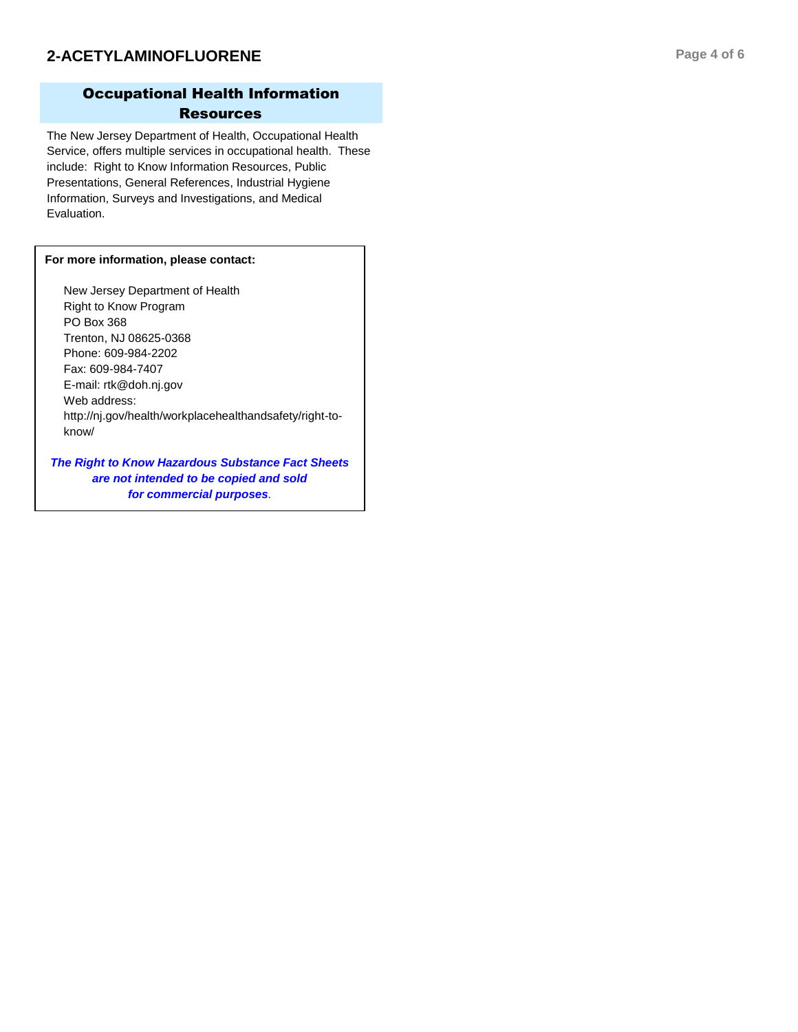# Occupational Health Information **Resources**

The New Jersey Department of Health, Occupational Health Service, offers multiple services in occupational health. These include: Right to Know Information Resources, Public Presentations, General References, Industrial Hygiene Information, Surveys and Investigations, and Medical Evaluation.

# **For more information, please contact:**

New Jersey Department of Health Right to Know Program PO Box 368 Trenton, NJ 08625 -0368 Phone: 609 -984 -2202 Fax: 609 -984 -7407 E -mail: rtk@doh.nj.gov Web address: http://nj.gov/health/workplacehealthandsafety/right -to know/

*The Right to Know Hazardous Substance Fact Sheets are not intended to be copied and sold for commercial purposes .*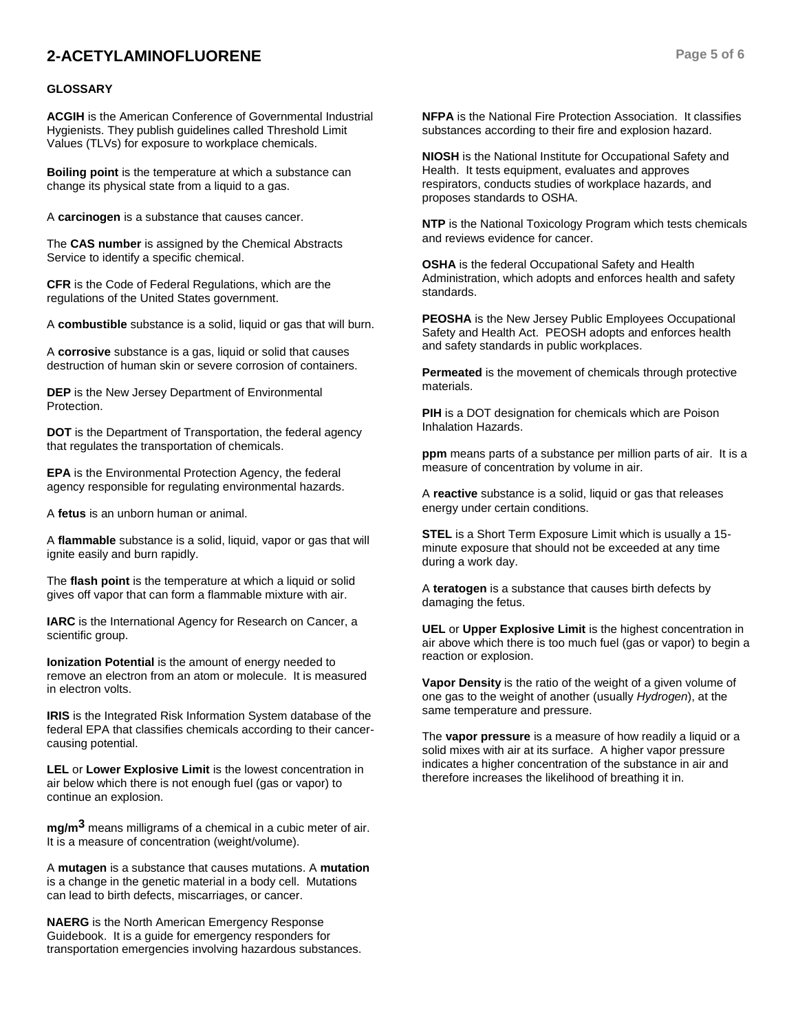# **2-ACETYLAMINOFLUORENE Page 5 of 6**

### **GLOSSARY**

**ACGIH** is the American Conference of Governmental Industrial Hygienists. They publish guidelines called Threshold Limit Values (TLVs) for exposure to workplace chemicals.

**Boiling point** is the temperature at which a substance can change its physical state from a liquid to a gas.

A **carcinogen** is a substance that causes cancer.

The **CAS number** is assigned by the Chemical Abstracts Service to identify a specific chemical.

**CFR** is the Code of Federal Regulations, which are the regulations of the United States government.

A **combustible** substance is a solid, liquid or gas that will burn.

A **corrosive** substance is a gas, liquid or solid that causes destruction of human skin or severe corrosion of containers.

**DEP** is the New Jersey Department of Environmental Protection.

**DOT** is the Department of Transportation, the federal agency that regulates the transportation of chemicals.

**EPA** is the Environmental Protection Agency, the federal agency responsible for regulating environmental hazards.

A **fetus** is an unborn human or animal.

A **flammable** substance is a solid, liquid, vapor or gas that will ignite easily and burn rapidly.

The **flash point** is the temperature at which a liquid or solid gives off vapor that can form a flammable mixture with air.

**IARC** is the International Agency for Research on Cancer, a scientific group.

**Ionization Potential** is the amount of energy needed to remove an electron from an atom or molecule. It is measured in electron volts.

**IRIS** is the Integrated Risk Information System database of the federal EPA that classifies chemicals according to their cancercausing potential.

**LEL** or **Lower Explosive Limit** is the lowest concentration in air below which there is not enough fuel (gas or vapor) to continue an explosion.

**mg/m3** means milligrams of a chemical in a cubic meter of air. It is a measure of concentration (weight/volume).

A **mutagen** is a substance that causes mutations. A **mutation** is a change in the genetic material in a body cell. Mutations can lead to birth defects, miscarriages, or cancer.

**NAERG** is the North American Emergency Response Guidebook. It is a guide for emergency responders for transportation emergencies involving hazardous substances. **NFPA** is the National Fire Protection Association. It classifies substances according to their fire and explosion hazard.

**NIOSH** is the National Institute for Occupational Safety and Health. It tests equipment, evaluates and approves respirators, conducts studies of workplace hazards, and proposes standards to OSHA.

**NTP** is the National Toxicology Program which tests chemicals and reviews evidence for cancer.

**OSHA** is the federal Occupational Safety and Health Administration, which adopts and enforces health and safety standards.

**PEOSHA** is the New Jersey Public Employees Occupational Safety and Health Act. PEOSH adopts and enforces health and safety standards in public workplaces.

**Permeated** is the movement of chemicals through protective materials.

**PIH** is a DOT designation for chemicals which are Poison Inhalation Hazards.

**ppm** means parts of a substance per million parts of air. It is a measure of concentration by volume in air.

A **reactive** substance is a solid, liquid or gas that releases energy under certain conditions.

**STEL** is a Short Term Exposure Limit which is usually a 15 minute exposure that should not be exceeded at any time during a work day.

A **teratogen** is a substance that causes birth defects by damaging the fetus.

**UEL** or **Upper Explosive Limit** is the highest concentration in air above which there is too much fuel (gas or vapor) to begin a reaction or explosion.

**Vapor Density** is the ratio of the weight of a given volume of one gas to the weight of another (usually *Hydrogen*), at the same temperature and pressure.

The **vapor pressure** is a measure of how readily a liquid or a solid mixes with air at its surface. A higher vapor pressure indicates a higher concentration of the substance in air and therefore increases the likelihood of breathing it in.